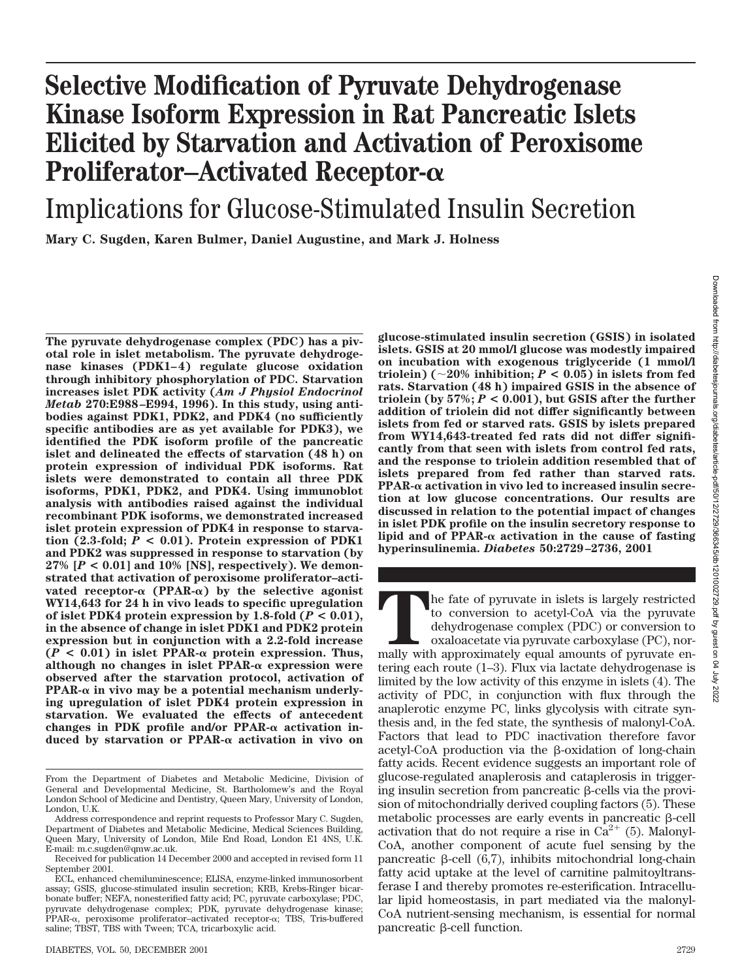# **Selective Modification of Pyruvate Dehydrogenase Kinase Isoform Expression in Rat Pancreatic Islets Elicited by Starvation and Activation of Peroxisome Proliferator–Activated Receptor-**

Implications for Glucose-Stimulated Insulin Secretion

**Mary C. Sugden, Karen Bulmer, Daniel Augustine, and Mark J. Holness**

**The pyruvate dehydrogenase complex (PDC) has a pivotal role in islet metabolism. The pyruvate dehydrogenase kinases (PDK1–4) regulate glucose oxidation through inhibitory phosphorylation of PDC. Starvation increases islet PDK activity (***Am J Physiol Endocrinol Metab* **270:E988–E994, 1996). In this study, using antibodies against PDK1, PDK2, and PDK4 (no sufficiently specific antibodies are as yet available for PDK3), we identified the PDK isoform profile of the pancreatic islet and delineated the effects of starvation (48 h) on protein expression of individual PDK isoforms. Rat islets were demonstrated to contain all three PDK isoforms, PDK1, PDK2, and PDK4. Using immunoblot analysis with antibodies raised against the individual recombinant PDK isoforms, we demonstrated increased islet protein expression of PDK4 in response to starva**tion  $(2.3\text{-fold}; P < 0.01)$ . Protein expression of PDK1 **and PDK2 was suppressed in response to starvation (by 27% [***P* **< 0.01] and 10% [NS], respectively). We demonstrated that activation of peroxisome proliferator–acti**vated receptor- $\alpha$  (PPAR- $\alpha$ ) by the selective agonist **WY14,643 for 24 h in vivo leads to specific upregulation of islet PDK4 protein expression by 1.8-fold**  $(P < 0.01)$ **, in the absence of change in islet PDK1 and PDK2 protein expression but in conjunction with a 2.2-fold increase**  $(P \leq 0.01)$  in islet PPAR- $\alpha$  protein expression. Thus, although no changes in islet  $PPAR-\alpha$  expression were **observed after the starvation protocol, activation of** PPAR- $\alpha$  in vivo may be a potential mechanism underly**ing upregulation of islet PDK4 protein expression in starvation. We evaluated the effects of antecedent changes in PDK profile and/or PPAR-α activation induced by starvation or PPAR- activation in vivo on** **glucose-stimulated insulin secretion (GSIS) in isolated islets. GSIS at 20 mmol/l glucose was modestly impaired on incubation with exogenous triglyceride (1 mmol/l triolein)** ( $\sim$ 20% inhibition;  $P$  < 0.05) in islets from fed **rats. Starvation (48 h) impaired GSIS in the absence of triolein (by 57%;** *P* **< 0.001), but GSIS after the further addition of triolein did not differ significantly between islets from fed or starved rats. GSIS by islets prepared from WY14,643-treated fed rats did not differ significantly from that seen with islets from control fed rats, and the response to triolein addition resembled that of islets prepared from fed rather than starved rats. PPAR- activation in vivo led to increased insulin secretion at low glucose concentrations. Our results are discussed in relation to the potential impact of changes in islet PDK profile on the insulin secretory response to lipid and of PPAR- activation in the cause of fasting hyperinsulinemia.** *Diabetes* **50:2729–2736, 2001**

The fate of pyruvate in islets is largely restricted to conversion to acetyl-CoA via the pyruvate dehydrogenase complex (PDC) or conversion to oxaloacetate via pyruvate carboxylase (PC), normally with approximately equal a to conversion to acetyl-CoA via the pyruvate dehydrogenase complex (PDC) or conversion to oxaloacetate via pyruvate carboxylase (PC), nortering each route (1–3). Flux via lactate dehydrogenase is limited by the low activity of this enzyme in islets (4). The activity of PDC, in conjunction with flux through the anaplerotic enzyme PC, links glycolysis with citrate synthesis and, in the fed state, the synthesis of malonyl-CoA. Factors that lead to PDC inactivation therefore favor acetyl-CoA production via the β-oxidation of long-chain fatty acids. Recent evidence suggests an important role of glucose-regulated anaplerosis and cataplerosis in triggering insulin secretion from pancreatic  $\beta$ -cells via the provision of mitochondrially derived coupling factors (5). These metabolic processes are early events in pancreatic  $\beta$ -cell activation that do not require a rise in  $Ca^{2+}$  (5). Malonyl-CoA, another component of acute fuel sensing by the pancreatic  $\beta$ -cell (6,7), inhibits mitochondrial long-chain fatty acid uptake at the level of carnitine palmitoyltransferase I and thereby promotes re-esterification. Intracellular lipid homeostasis, in part mediated via the malonyl-CoA nutrient-sensing mechanism, is essential for normal pancreatic  $\beta$ -cell function.

From the Department of Diabetes and Metabolic Medicine, Division of General and Developmental Medicine, St. Bartholomew's and the Royal London School of Medicine and Dentistry, Queen Mary, University of London, London, U.K.

Address correspondence and reprint requests to Professor Mary C. Sugden, Department of Diabetes and Metabolic Medicine, Medical Sciences Building, Queen Mary, University of London, Mile End Road, London E1 4NS, U.K. E-mail: m.c.sugden@qmw.ac.uk.

Received for publication 14 December 2000 and accepted in revised form 11 September 2001.

ECL, enhanced chemiluminescence; ELISA, enzyme-linked immunosorbent assay; GSIS, glucose-stimulated insulin secretion; KRB, Krebs-Ringer bicarbonate buffer; NEFA, nonesterified fatty acid; PC, pyruvate carboxylase; PDC, pyruvate dehydrogenase complex; PDK, pyruvate dehydrogenase kinase; PPAR- $\alpha$ , peroxisome proliferator-activated receptor- $\alpha$ ; TBS, Tris-buffered saline; TBST, TBS with Tween; TCA, tricarboxylic acid.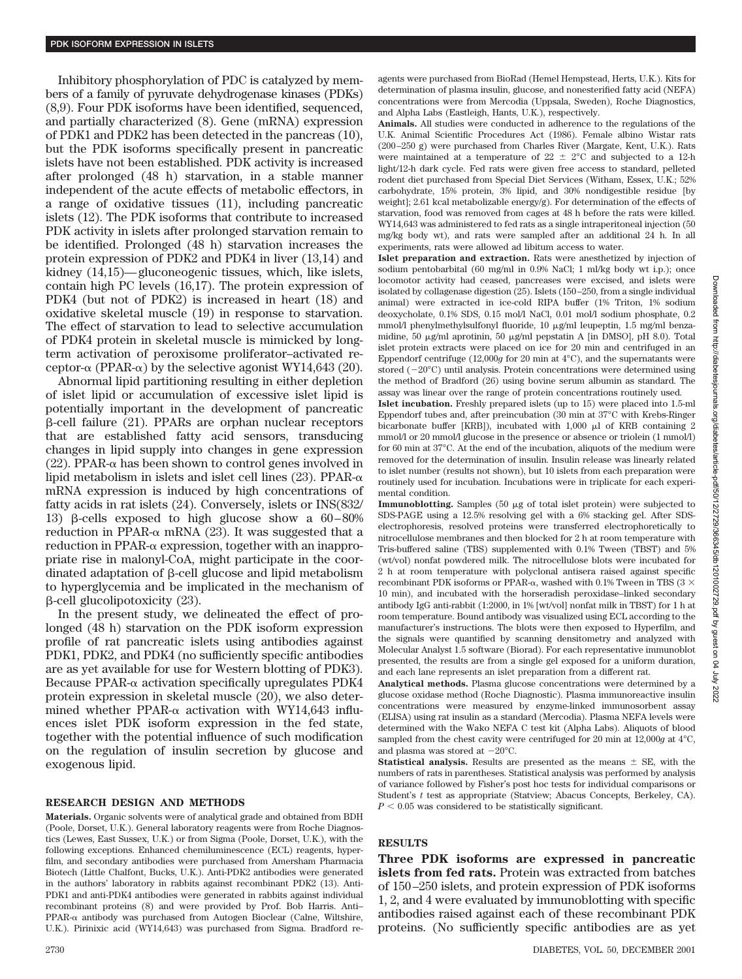Inhibitory phosphorylation of PDC is catalyzed by members of a family of pyruvate dehydrogenase kinases (PDKs) (8,9). Four PDK isoforms have been identified, sequenced, and partially characterized (8). Gene (mRNA) expression of PDK1 and PDK2 has been detected in the pancreas (10), but the PDK isoforms specifically present in pancreatic islets have not been established. PDK activity is increased after prolonged (48 h) starvation, in a stable manner independent of the acute effects of metabolic effectors, in a range of oxidative tissues (11), including pancreatic islets (12). The PDK isoforms that contribute to increased PDK activity in islets after prolonged starvation remain to be identified. Prolonged (48 h) starvation increases the protein expression of PDK2 and PDK4 in liver (13,14) and kidney (14,15)—gluconeogenic tissues, which, like islets, contain high PC levels (16,17). The protein expression of PDK4 (but not of PDK2) is increased in heart (18) and oxidative skeletal muscle (19) in response to starvation. The effect of starvation to lead to selective accumulation of PDK4 protein in skeletal muscle is mimicked by longterm activation of peroxisome proliferator–activated receptor- $\alpha$  (PPAR- $\alpha$ ) by the selective agonist WY14,643 (20).

Abnormal lipid partitioning resulting in either depletion of islet lipid or accumulation of excessive islet lipid is potentially important in the development of pancreatic --cell failure (21). PPARs are orphan nuclear receptors that are established fatty acid sensors, transducing changes in lipid supply into changes in gene expression (22). PPAR- $\alpha$  has been shown to control genes involved in lipid metabolism in islets and islet cell lines (23). PPAR- $\alpha$ mRNA expression is induced by high concentrations of fatty acids in rat islets (24). Conversely, islets or INS(832/ 13) β-cells exposed to high glucose show a  $60-80%$ reduction in PPAR- $\alpha$  mRNA (23). It was suggested that a reduction in PPAR- $\alpha$  expression, together with an inappropriate rise in malonyl-CoA, might participate in the coordinated adaptation of  $\beta$ -cell glucose and lipid metabolism to hyperglycemia and be implicated in the mechanism of  $\beta$ -cell glucolipotoxicity (23).

In the present study, we delineated the effect of prolonged (48 h) starvation on the PDK isoform expression profile of rat pancreatic islets using antibodies against PDK1, PDK2, and PDK4 (no sufficiently specific antibodies are as yet available for use for Western blotting of PDK3). Because PPAR- $\alpha$  activation specifically upregulates PDK4 protein expression in skeletal muscle (20), we also determined whether PPAR- $\alpha$  activation with WY14,643 influences islet PDK isoform expression in the fed state, together with the potential influence of such modification on the regulation of insulin secretion by glucose and exogenous lipid.

#### **RESEARCH DESIGN AND METHODS**

**Materials.** Organic solvents were of analytical grade and obtained from BDH (Poole, Dorset, U.K.). General laboratory reagents were from Roche Diagnostics (Lewes, East Sussex, U.K.) or from Sigma (Poole, Dorset, U.K.), with the following exceptions. Enhanced chemiluminescence (ECL) reagents, hyperfilm, and secondary antibodies were purchased from Amersham Pharmacia Biotech (Little Chalfont, Bucks, U.K.). Anti-PDK2 antibodies were generated in the authors' laboratory in rabbits against recombinant PDK2 (13). Anti-PDK1 and anti-PDK4 antibodies were generated in rabbits against individual recombinant proteins (8) and were provided by Prof. Bob Harris. Anti–  $PPAR-\alpha$  antibody was purchased from Autogen Bioclear (Calne, Wiltshire, U.K.). Pirinixic acid (WY14,643) was purchased from Sigma. Bradford reagents were purchased from BioRad (Hemel Hempstead, Herts, U.K.). Kits for determination of plasma insulin, glucose, and nonesterified fatty acid (NEFA) concentrations were from Mercodia (Uppsala, Sweden), Roche Diagnostics, and Alpha Labs (Eastleigh, Hants, U.K.), respectively.

**Animals.** All studies were conducted in adherence to the regulations of the U.K. Animal Scientific Procedures Act (1986). Female albino Wistar rats (200–250 g) were purchased from Charles River (Margate, Kent, U.K.). Rats were maintained at a temperature of  $22 \pm 2^{\circ}$ C and subjected to a 12-h light/12-h dark cycle. Fed rats were given free access to standard, pelleted rodent diet purchased from Special Diet Services (Witham, Essex, U.K.; 52% carbohydrate, 15% protein, 3% lipid, and 30% nondigestible residue [by weight]; 2.61 kcal metabolizable energy/g). For determination of the effects of starvation, food was removed from cages at 48 h before the rats were killed. WY14,643 was administered to fed rats as a single intraperitoneal injection (50 mg/kg body wt), and rats were sampled after an additional 24 h. In all experiments, rats were allowed ad libitum access to water.

**Islet preparation and extraction.** Rats were anesthetized by injection of sodium pentobarbital (60 mg/ml in 0.9% NaCl; 1 ml/kg body wt i.p.); once locomotor activity had ceased, pancreases were excised, and islets were isolated by collagenase digestion (25). Islets (150–250, from a single individual animal) were extracted in ice-cold RIPA buffer (1% Triton, 1% sodium deoxycholate, 0.1% SDS, 0.15 mol/l NaCl, 0.01 mol/l sodium phosphate, 0.2 mmol/l phenylmethylsulfonyl fluoride, 10 µg/ml leupeptin, 1.5 mg/ml benzamidine, 50  $\mu$ g/ml aprotinin, 50  $\mu$ g/ml pepstatin A [in DMSO], pH 8.0). Total islet protein extracts were placed on ice for 20 min and centrifuged in an Eppendorf centrifuge (12,000*g* for 20 min at 4°C), and the supernatants were stored  $(-20^{\circ}$ C) until analysis. Protein concentrations were determined using the method of Bradford (26) using bovine serum albumin as standard. The assay was linear over the range of protein concentrations routinely used.

**Islet incubation.** Freshly prepared islets (up to 15) were placed into 1.5-ml Eppendorf tubes and, after preincubation (30 min at 37°C with Krebs-Ringer bicarbonate buffer [KRB]), incubated with  $1,000$   $\mu$  of KRB containing 2 mmol/l or 20 mmol/l glucose in the presence or absence or triolein (1 mmol/l) for 60 min at 37<sup>o</sup>C. At the end of the incubation, aliguots of the medium were removed for the determination of insulin. Insulin release was linearly related to islet number (results not shown), but 10 islets from each preparation were routinely used for incubation. Incubations were in triplicate for each experimental condition.

Immunoblotting. Samples (50  $\mu$ g of total islet protein) were subjected to SDS-PAGE using a 12.5% resolving gel with a 6% stacking gel. After SDSelectrophoresis, resolved proteins were transferred electrophoretically to nitrocellulose membranes and then blocked for 2 h at room temperature with Tris-buffered saline (TBS) supplemented with 0.1% Tween (TBST) and 5% (wt/vol) nonfat powdered milk. The nitrocellulose blots were incubated for 2 h at room temperature with polyclonal antisera raised against specific recombinant PDK isoforms or PPAR- $\alpha$ , washed with 0.1% Tween in TBS (3  $\times$ 10 min), and incubated with the horseradish peroxidase–linked secondary antibody IgG anti-rabbit (1:2000, in 1% [wt/vol] nonfat milk in TBST) for 1 h at room temperature. Bound antibody was visualized using ECL according to the manufacturer's instructions. The blots were then exposed to Hyperfilm, and the signals were quantified by scanning densitometry and analyzed with Molecular Analyst 1.5 software (Biorad). For each representative immunoblot presented, the results are from a single gel exposed for a uniform duration, and each lane represents an islet preparation from a different rat.

**Analytical methods.** Plasma glucose concentrations were determined by a glucose oxidase method (Roche Diagnostic). Plasma immunoreactive insulin concentrations were measured by enzyme-linked immunosorbent assay (ELISA) using rat insulin as a standard (Mercodia). Plasma NEFA levels were determined with the Wako NEFA C test kit (Alpha Labs). Aliquots of blood sampled from the chest cavity were centrifuged for 20 min at 12,000*g* at 4°C, and plasma was stored at  $-20^{\circ}$ C.

**Statistical analysis.** Results are presented as the means  $\pm$  SE, with the numbers of rats in parentheses. Statistical analysis was performed by analysis of variance followed by Fisher's post hoc tests for individual comparisons or Student's *t* test as appropriate (Statview; Abacus Concepts, Berkeley, CA).  $P < 0.05$  was considered to be statistically significant.

#### **RESULTS**

**Three PDK isoforms are expressed in pancreatic islets from fed rats.** Protein was extracted from batches of 150–250 islets, and protein expression of PDK isoforms 1, 2, and 4 were evaluated by immunoblotting with specific antibodies raised against each of these recombinant PDK proteins. (No sufficiently specific antibodies are as yet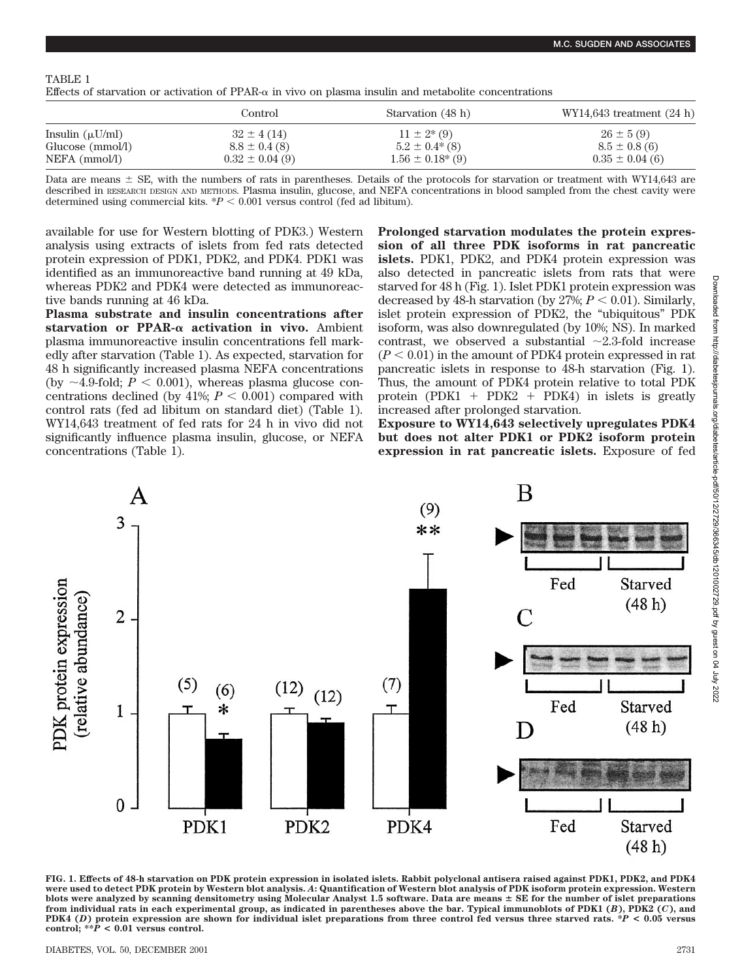## TABLE 1

| Effects of starvation or activation of PPAR- $\alpha$ in vivo on plasma insulin and metabolite concentrations |  |  |  |  |
|---------------------------------------------------------------------------------------------------------------|--|--|--|--|
|---------------------------------------------------------------------------------------------------------------|--|--|--|--|

|                      | Control            | Starvation (48 h)       | WY14,643 treatment $(24 h)$ |
|----------------------|--------------------|-------------------------|-----------------------------|
| Insulin $(\mu U/ml)$ | $32 \pm 4(14)$     | $11 \pm 2*(9)$          | $26 \pm 5(9)$               |
| Glucose (mmol/l)     | $8.8 \pm 0.4$ (8)  | $5.2 \pm 0.4^*(8)$      | $8.5 \pm 0.8$ (6)           |
| NEFA (mmol/l)        | $0.32 \pm 0.04(9)$ | $1.56 \pm 0.18^{*}$ (9) | $0.35 \pm 0.04$ (6)         |

Data are means  $\pm$  SE, with the numbers of rats in parentheses. Details of the protocols for starvation or treatment with WY14,643 are described in RESEARCH DESIGN AND METHODS. Plasma insulin, glucose, and NEFA concentrations in blood sampled from the chest cavity were determined using commercial kits.  $*P < 0.001$  versus control (fed ad libitum).

available for use for Western blotting of PDK3.) Western analysis using extracts of islets from fed rats detected protein expression of PDK1, PDK2, and PDK4. PDK1 was identified as an immunoreactive band running at 49 kDa, whereas PDK2 and PDK4 were detected as immunoreactive bands running at 46 kDa.

**Plasma substrate and insulin concentrations after** starvation or PPAR- $\alpha$  activation in vivo. Ambient plasma immunoreactive insulin concentrations fell markedly after starvation (Table 1). As expected, starvation for 48 h significantly increased plasma NEFA concentrations (by  $\sim$ 4.9-fold;  $P \leq 0.001$ ), whereas plasma glucose concentrations declined (by  $41\%$ ;  $P < 0.001$ ) compared with control rats (fed ad libitum on standard diet) (Table 1). WY14,643 treatment of fed rats for 24 h in vivo did not significantly influence plasma insulin, glucose, or NEFA concentrations (Table 1).

**Prolonged starvation modulates the protein expression of all three PDK isoforms in rat pancreatic islets.** PDK1, PDK2, and PDK4 protein expression was also detected in pancreatic islets from rats that were starved for 48 h (Fig. 1). Islet PDK1 protein expression was decreased by 48-h starvation (by  $27\%$ ;  $P < 0.01$ ). Similarly, islet protein expression of PDK2, the "ubiquitous" PDK isoform, was also downregulated (by 10%; NS). In marked contrast, we observed a substantial  $\sim$ 2.3-fold increase  $(P < 0.01)$  in the amount of PDK4 protein expressed in rat pancreatic islets in response to 48-h starvation (Fig. 1). Thus, the amount of PDK4 protein relative to total PDK protein (PDK1 + PDK2 + PDK4) in islets is greatly increased after prolonged starvation.

**Exposure to WY14,643 selectively upregulates PDK4 but does not alter PDK1 or PDK2 isoform protein expression in rat pancreatic islets.** Exposure of fed



**FIG. 1. Effects of 48-h starvation on PDK protein expression in isolated islets. Rabbit polyclonal antisera raised against PDK1, PDK2, and PDK4 were used to detect PDK protein by Western blot analysis.** *A***: Quantification of Western blot analysis of PDK isoform protein expression. Western blots were analyzed by scanning densitometry using Molecular Analyst 1.5 software. Data are means** - **SE for the number of islet preparations from individual rats in each experimental group, as indicated in parentheses above the bar. Typical immunoblots of PDK1 (***B***), PDK2 (***C***), and PDK4 (***D***) protein expression are shown for individual islet preparations from three control fed versus three starved rats. \****P* **< 0.05 versus control; \*\****P* **< 0.01 versus control.**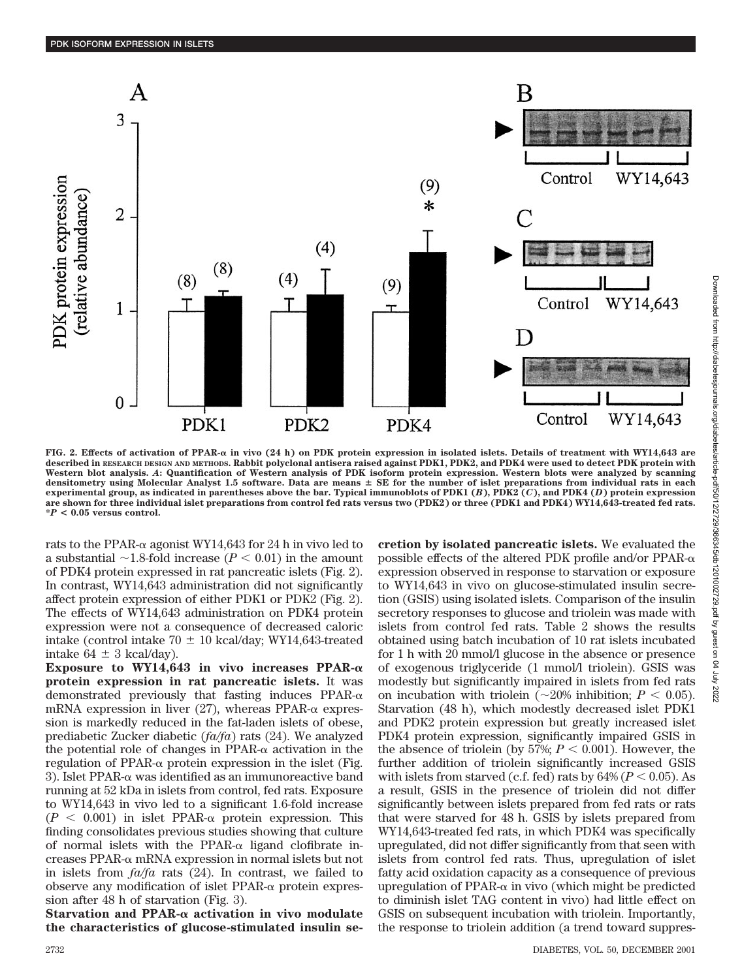

**FIG. 2. Effects of activation of PPAR- in vivo (24 h) on PDK protein expression in isolated islets. Details of treatment with WY14,643 are described in RESEARCH DESIGN AND METHODS. Rabbit polyclonal antisera raised against PDK1, PDK2, and PDK4 were used to detect PDK protein with Western blot analysis.** *A***: Quantification of Western analysis of PDK isoform protein expression. Western blots were analyzed by scanning** densitometry using Molecular Analyst 1.5 software. Data are means  $\pm$  SE for the number of islet preparations from individual rats in each **experimental group, as indicated in parentheses above the bar. Typical immunoblots of PDK1 (***B***), PDK2 (***C***), and PDK4 (***D***) protein expression are shown for three individual islet preparations from control fed rats versus two (PDK2) or three (PDK1 and PDK4) WY14,643-treated fed rats. \****P* **< 0.05 versus control.**

rats to the PPAR- $\alpha$  agonist WY14,643 for 24 h in vivo led to a substantial  $\sim$ 1.8-fold increase ( $P < 0.01$ ) in the amount of PDK4 protein expressed in rat pancreatic islets (Fig. 2). In contrast, WY14,643 administration did not significantly affect protein expression of either PDK1 or PDK2 (Fig. 2). The effects of WY14,643 administration on PDK4 protein expression were not a consequence of decreased caloric intake (control intake  $70 \pm 10$  kcal/day; WY14,643-treated intake  $64 \pm 3$  kcal/day).

**Exposure to WY14,643 in vivo increases PPAR protein expression in rat pancreatic islets.** It was demonstrated previously that fasting induces  $PPAR-\alpha$ mRNA expression in liver  $(27)$ , whereas PPAR- $\alpha$  expression is markedly reduced in the fat-laden islets of obese, prediabetic Zucker diabetic (*fa/fa*) rats (24). We analyzed the potential role of changes in  $PPAR-\alpha$  activation in the regulation of PPAR- $\alpha$  protein expression in the islet (Fig. 3). Islet PPAR- $\alpha$  was identified as an immunoreactive band running at 52 kDa in islets from control, fed rats. Exposure to WY14,643 in vivo led to a significant 1.6-fold increase  $(P < 0.001)$  in islet PPAR- $\alpha$  protein expression. This finding consolidates previous studies showing that culture of normal islets with the PPAR- $\alpha$  ligand clofibrate increases PPAR- $\alpha$  mRNA expression in normal islets but not in islets from *fa/fa* rats (24). In contrast, we failed to observe any modification of islet  $PPAR-\alpha$  protein expression after 48 h of starvation (Fig. 3).

**Starvation and PPAR- activation in vivo modulate the characteristics of glucose-stimulated insulin se-** **cretion by isolated pancreatic islets.** We evaluated the possible effects of the altered PDK profile and/or PPAR- $\alpha$ expression observed in response to starvation or exposure to WY14,643 in vivo on glucose-stimulated insulin secretion (GSIS) using isolated islets. Comparison of the insulin secretory responses to glucose and triolein was made with islets from control fed rats. Table 2 shows the results obtained using batch incubation of 10 rat islets incubated for 1 h with 20 mmol/l glucose in the absence or presence of exogenous triglyceride (1 mmol/l triolein). GSIS was modestly but significantly impaired in islets from fed rats on incubation with triolein  $\left(\sim 20\% \right)$  inhibition:  $P \leq 0.05$ ). Starvation (48 h), which modestly decreased islet PDK1 and PDK2 protein expression but greatly increased islet PDK4 protein expression, significantly impaired GSIS in the absence of triolein (by 57%;  $P < 0.001$ ). However, the further addition of triolein significantly increased GSIS with islets from starved (c.f. fed) rats by  $64\%$  ( $P < 0.05$ ). As a result, GSIS in the presence of triolein did not differ significantly between islets prepared from fed rats or rats that were starved for 48 h. GSIS by islets prepared from WY14,643-treated fed rats, in which PDK4 was specifically upregulated, did not differ significantly from that seen with islets from control fed rats. Thus, upregulation of islet fatty acid oxidation capacity as a consequence of previous upregulation of PPAR- $\alpha$  in vivo (which might be predicted to diminish islet TAG content in vivo) had little effect on GSIS on subsequent incubation with triolein. Importantly, the response to triolein addition (a trend toward suppres-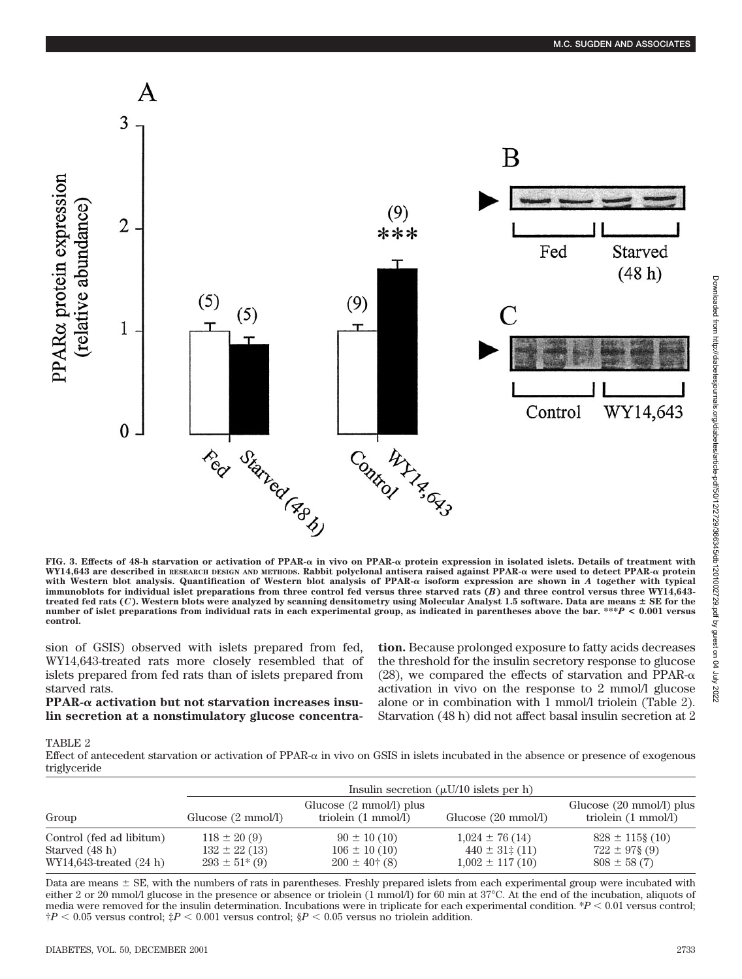

**FIG. 3. Effects of 48-h starvation or activation of PPAR- in vivo on PPAR- protein expression in isolated islets. Details of treatment with** WY14,643 are described in RESEARCH DESIGN AND METHODS. Rabbit polyclonal antisera raised against PPAR- $\alpha$  were used to detect PPAR- $\alpha$  protein with Western blot analysis. Quantification of Western blot analysis of PPAR- $\alpha$  isoform expression are shown in *A* together with typical **immunoblots for individual islet preparations from three control fed versus three starved rats (***B***) and three control versus three WY14,643** treated fed rats (*C*). Western blots were analyzed by scanning densitometry using Molecular Analyst 1.5 software. Data are means  $\pm$  SE for the **number of islet preparations from individual rats in each experimental group, as indicated in parentheses above the bar. \*\*\****P* **< 0.001 versus control.**

sion of GSIS) observed with islets prepared from fed, WY14,643-treated rats more closely resembled that of islets prepared from fed rats than of islets prepared from starved rats.

**PPAR- activation but not starvation increases insulin secretion at a nonstimulatory glucose concentra-** **tion.** Because prolonged exposure to fatty acids decreases the threshold for the insulin secretory response to glucose (28), we compared the effects of starvation and PPAR- $\alpha$ activation in vivo on the response to 2 mmol/l glucose alone or in combination with 1 mmol/l triolein (Table 2). Starvation (48 h) did not affect basal insulin secretion at 2

## TABLE 2

Effect of antecedent starvation or activation of  $PPAR-\alpha$  in vivo on GSIS in islets incubated in the absence or presence of exogenous triglyceride

| Group                                                                      | Insulin secretion $(\mu U/10)$ islets per h)                         |                                                                    |                                                                     |                                                                     |  |
|----------------------------------------------------------------------------|----------------------------------------------------------------------|--------------------------------------------------------------------|---------------------------------------------------------------------|---------------------------------------------------------------------|--|
|                                                                            | Glucose $(2 \text{ mmol/l})$                                         | Glucose $(2 \text{ mmol/l})$ plus<br>triolein $(1 \text{ mmol/l})$ | Glucose $(20 \text{ mmol/l})$                                       | Glucose $(20 \text{ mmol/l})$ plus<br>triolein $(1 \text{ mmol/l})$ |  |
| Control (fed ad libitum)<br>Starved (48 h)<br>$WY14,643$ -treated $(24 h)$ | $118 \pm 20(9)$<br>$132 \pm 22(13)$<br>$293 \pm 51$ <sup>*</sup> (9) | $90 \pm 10(10)$<br>$106 \pm 10(10)$<br>$200 \pm 40^{\circ}$ (8)    | $1,024 \pm 76(14)$<br>$440 \pm 31 \div (11)$<br>$1,002 \pm 117(10)$ | $828 \pm 115$ § (10)<br>$722 \pm 97\$ (9)<br>$808 \pm 58(7)$        |  |

Data are means  $\pm$  SE, with the numbers of rats in parentheses. Freshly prepared islets from each experimental group were incubated with either 2 or 20 mmol/l glucose in the presence or absence or triolein (1 mmol/l) for 60 min at 37°C. At the end of the incubation, aliquots of media were removed for the insulin determination. Incubations were in triplicate for each experimental condition.  $*P < 0.01$  versus control;  $\frac{f}{f}P < 0.05$  versus control;  $\frac{f}{f}P < 0.001$  versus control;  $\frac{g}{f}P < 0.05$  versus no triolein addition.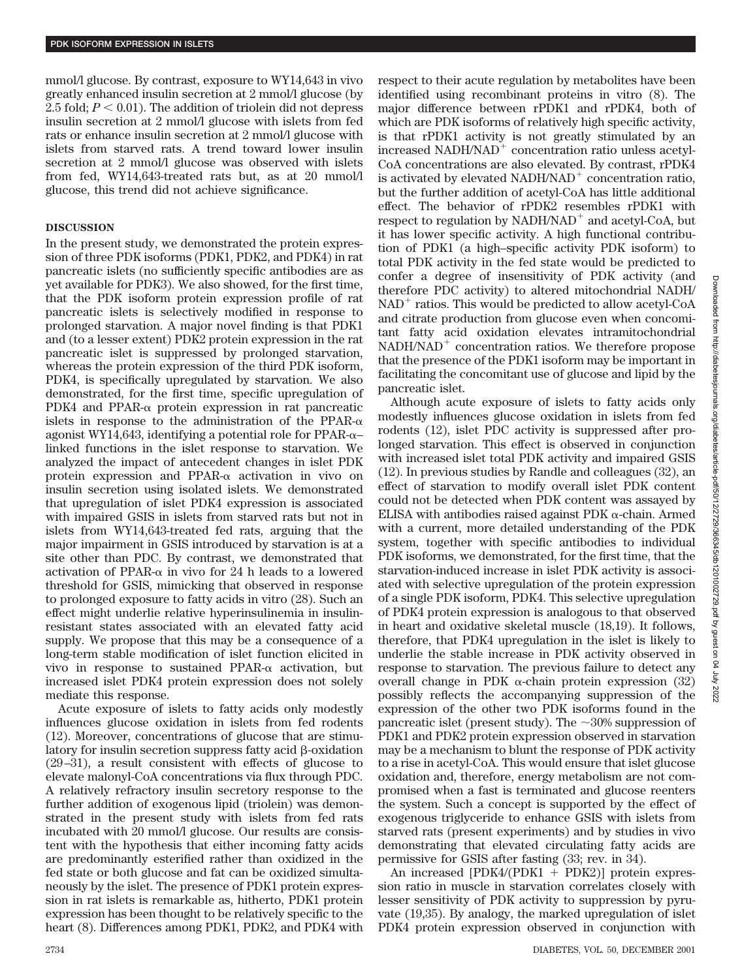mmol/l glucose. By contrast, exposure to WY14,643 in vivo greatly enhanced insulin secretion at 2 mmol/l glucose (by 2.5 fold;  $P < 0.01$ ). The addition of triolein did not depress insulin secretion at 2 mmol/l glucose with islets from fed rats or enhance insulin secretion at 2 mmol/l glucose with islets from starved rats. A trend toward lower insulin secretion at 2 mmol/l glucose was observed with islets from fed, WY14,643-treated rats but, as at 20 mmol/l glucose, this trend did not achieve significance.

## **DISCUSSION**

In the present study, we demonstrated the protein expression of three PDK isoforms (PDK1, PDK2, and PDK4) in rat pancreatic islets (no sufficiently specific antibodies are as yet available for PDK3). We also showed, for the first time, that the PDK isoform protein expression profile of rat pancreatic islets is selectively modified in response to prolonged starvation. A major novel finding is that PDK1 and (to a lesser extent) PDK2 protein expression in the rat pancreatic islet is suppressed by prolonged starvation, whereas the protein expression of the third PDK isoform, PDK4, is specifically upregulated by starvation. We also demonstrated, for the first time, specific upregulation of PDK4 and PPAR- $\alpha$  protein expression in rat pancreatic islets in response to the administration of the PPAR- $\alpha$ agonist WY14,643, identifying a potential role for PPAR- $\alpha$ – linked functions in the islet response to starvation. We analyzed the impact of antecedent changes in islet PDK protein expression and PPAR- $\alpha$  activation in vivo on insulin secretion using isolated islets. We demonstrated that upregulation of islet PDK4 expression is associated with impaired GSIS in islets from starved rats but not in islets from WY14,643-treated fed rats, arguing that the major impairment in GSIS introduced by starvation is at a site other than PDC. By contrast, we demonstrated that activation of PPAR- $\alpha$  in vivo for 24 h leads to a lowered threshold for GSIS, mimicking that observed in response to prolonged exposure to fatty acids in vitro (28). Such an effect might underlie relative hyperinsulinemia in insulinresistant states associated with an elevated fatty acid supply. We propose that this may be a consequence of a long-term stable modification of islet function elicited in vivo in response to sustained  $PPAR-\alpha$  activation, but increased islet PDK4 protein expression does not solely mediate this response.

Acute exposure of islets to fatty acids only modestly influences glucose oxidation in islets from fed rodents (12). Moreover, concentrations of glucose that are stimulatory for insulin secretion suppress fatty acid  $\beta$ -oxidation (29–31), a result consistent with effects of glucose to elevate malonyl-CoA concentrations via flux through PDC. A relatively refractory insulin secretory response to the further addition of exogenous lipid (triolein) was demonstrated in the present study with islets from fed rats incubated with 20 mmol/l glucose. Our results are consistent with the hypothesis that either incoming fatty acids are predominantly esterified rather than oxidized in the fed state or both glucose and fat can be oxidized simultaneously by the islet. The presence of PDK1 protein expression in rat islets is remarkable as, hitherto, PDK1 protein expression has been thought to be relatively specific to the heart (8). Differences among PDK1, PDK2, and PDK4 with respect to their acute regulation by metabolites have been identified using recombinant proteins in vitro (8). The major difference between rPDK1 and rPDK4, both of which are PDK isoforms of relatively high specific activity, is that rPDK1 activity is not greatly stimulated by an increased NADH/NAD<sup>+</sup> concentration ratio unless acetyl-CoA concentrations are also elevated. By contrast, rPDK4 is activated by elevated  $NADH/NAD<sup>+</sup>$  concentration ratio, but the further addition of acetyl-CoA has little additional effect. The behavior of rPDK2 resembles rPDK1 with respect to regulation by  $NADH/NAD$ <sup>+</sup> and acetyl-CoA, but it has lower specific activity. A high functional contribution of PDK1 (a high–specific activity PDK isoform) to total PDK activity in the fed state would be predicted to confer a degree of insensitivity of PDK activity (and therefore PDC activity) to altered mitochondrial NADH/  $NAD<sup>+</sup>$  ratios. This would be predicted to allow acetyl-CoA and citrate production from glucose even when concomitant fatty acid oxidation elevates intramitochondrial  $NADH/NAD<sup>+</sup>$  concentration ratios. We therefore propose that the presence of the PDK1 isoform may be important in facilitating the concomitant use of glucose and lipid by the pancreatic islet.

Although acute exposure of islets to fatty acids only modestly influences glucose oxidation in islets from fed rodents (12), islet PDC activity is suppressed after prolonged starvation. This effect is observed in conjunction with increased islet total PDK activity and impaired GSIS (12). In previous studies by Randle and colleagues (32), an effect of starvation to modify overall islet PDK content could not be detected when PDK content was assayed by ELISA with antibodies raised against PDK  $\alpha$ -chain. Armed with a current, more detailed understanding of the PDK system, together with specific antibodies to individual PDK isoforms, we demonstrated, for the first time, that the starvation-induced increase in islet PDK activity is associated with selective upregulation of the protein expression of a single PDK isoform, PDK4. This selective upregulation of PDK4 protein expression is analogous to that observed in heart and oxidative skeletal muscle (18,19). It follows, therefore, that PDK4 upregulation in the islet is likely to underlie the stable increase in PDK activity observed in response to starvation. The previous failure to detect any overall change in PDK  $\alpha$ -chain protein expression (32) possibly reflects the accompanying suppression of the expression of the other two PDK isoforms found in the pancreatic islet (present study). The  $\sim$ 30% suppression of PDK1 and PDK2 protein expression observed in starvation may be a mechanism to blunt the response of PDK activity to a rise in acetyl-CoA. This would ensure that islet glucose oxidation and, therefore, energy metabolism are not compromised when a fast is terminated and glucose reenters the system. Such a concept is supported by the effect of exogenous triglyceride to enhance GSIS with islets from starved rats (present experiments) and by studies in vivo demonstrating that elevated circulating fatty acids are permissive for GSIS after fasting (33; rev. in 34).

An increased [PDK4/(PDK1 + PDK2)] protein expression ratio in muscle in starvation correlates closely with lesser sensitivity of PDK activity to suppression by pyruvate (19,35). By analogy, the marked upregulation of islet PDK4 protein expression observed in conjunction with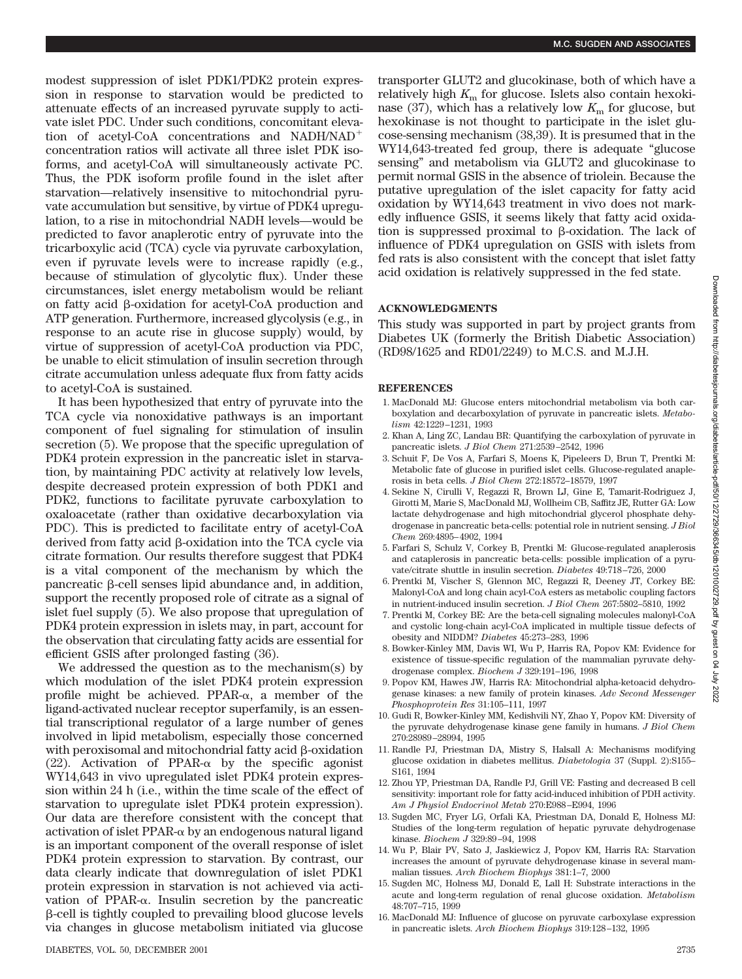modest suppression of islet PDK1/PDK2 protein expression in response to starvation would be predicted to attenuate effects of an increased pyruvate supply to activate islet PDC. Under such conditions, concomitant elevation of acetyl-CoA concentrations and NADH/NAD concentration ratios will activate all three islet PDK isoforms, and acetyl-CoA will simultaneously activate PC. Thus, the PDK isoform profile found in the islet after starvation—relatively insensitive to mitochondrial pyruvate accumulation but sensitive, by virtue of PDK4 upregulation, to a rise in mitochondrial NADH levels—would be predicted to favor anaplerotic entry of pyruvate into the tricarboxylic acid (TCA) cycle via pyruvate carboxylation, even if pyruvate levels were to increase rapidly (e.g., because of stimulation of glycolytic flux). Under these circumstances, islet energy metabolism would be reliant on fatty acid  $\beta$ -oxidation for acetyl-CoA production and ATP generation. Furthermore, increased glycolysis (e.g., in response to an acute rise in glucose supply) would, by virtue of suppression of acetyl-CoA production via PDC, be unable to elicit stimulation of insulin secretion through citrate accumulation unless adequate flux from fatty acids to acetyl-CoA is sustained.

It has been hypothesized that entry of pyruvate into the TCA cycle via nonoxidative pathways is an important component of fuel signaling for stimulation of insulin secretion (5). We propose that the specific upregulation of PDK4 protein expression in the pancreatic islet in starvation, by maintaining PDC activity at relatively low levels, despite decreased protein expression of both PDK1 and PDK2, functions to facilitate pyruvate carboxylation to oxaloacetate (rather than oxidative decarboxylation via PDC). This is predicted to facilitate entry of acetyl-CoA derived from fatty acid  $\beta$ -oxidation into the TCA cycle via citrate formation. Our results therefore suggest that PDK4 is a vital component of the mechanism by which the pancreatic  $\beta$ -cell senses lipid abundance and, in addition, support the recently proposed role of citrate as a signal of islet fuel supply (5). We also propose that upregulation of PDK4 protein expression in islets may, in part, account for the observation that circulating fatty acids are essential for efficient GSIS after prolonged fasting (36).

We addressed the question as to the mechanism(s) by which modulation of the islet PDK4 protein expression profile might be achieved. PPAR- $\alpha$ , a member of the ligand-activated nuclear receptor superfamily, is an essential transcriptional regulator of a large number of genes involved in lipid metabolism, especially those concerned with peroxisomal and mitochondrial fatty acid  $\beta$ -oxidation (22). Activation of PPAR- $\alpha$  by the specific agonist WY14,643 in vivo upregulated islet PDK4 protein expression within 24 h (i.e., within the time scale of the effect of starvation to upregulate islet PDK4 protein expression). Our data are therefore consistent with the concept that activation of islet  $PPAR-\alpha$  by an endogenous natural ligand is an important component of the overall response of islet PDK4 protein expression to starvation. By contrast, our data clearly indicate that downregulation of islet PDK1 protein expression in starvation is not achieved via activation of PPAR- $\alpha$ . Insulin secretion by the pancreatic --cell is tightly coupled to prevailing blood glucose levels via changes in glucose metabolism initiated via glucose transporter GLUT2 and glucokinase, both of which have a relatively high  $K<sub>m</sub>$  for glucose. Islets also contain hexokinase (37), which has a relatively low  $K<sub>m</sub>$  for glucose, but hexokinase is not thought to participate in the islet glucose-sensing mechanism (38,39). It is presumed that in the WY14,643-treated fed group, there is adequate "glucose sensing" and metabolism via GLUT2 and glucokinase to permit normal GSIS in the absence of triolein. Because the putative upregulation of the islet capacity for fatty acid oxidation by WY14,643 treatment in vivo does not markedly influence GSIS, it seems likely that fatty acid oxidation is suppressed proximal to  $\beta$ -oxidation. The lack of influence of PDK4 upregulation on GSIS with islets from fed rats is also consistent with the concept that islet fatty acid oxidation is relatively suppressed in the fed state.

## **ACKNOWLEDGMENTS**

This study was supported in part by project grants from Diabetes UK (formerly the British Diabetic Association) (RD98/1625 and RD01/2249) to M.C.S. and M.J.H.

## **REFERENCES**

- 1. MacDonald MJ: Glucose enters mitochondrial metabolism via both carboxylation and decarboxylation of pyruvate in pancreatic islets. *Metabolism* 42:1229–1231, 1993
- 2. Khan A, Ling ZC, Landau BR: Quantifying the carboxylation of pyruvate in pancreatic islets. *J Biol Chem* 271:2539–2542, 1996
- 3. Schuit F, De Vos A, Farfari S, Moens K, Pipeleers D, Brun T, Prentki M: Metabolic fate of glucose in purified islet cells. Glucose-regulated anaplerosis in beta cells. *J Biol Chem* 272:18572–18579, 1997
- 4. Sekine N, Cirulli V, Regazzi R, Brown LJ, Gine E, Tamarit-Rodriguez J, Girotti M, Marie S, MacDonald MJ, Wollheim CB, Saffitz JE, Rutter GA: Low lactate dehydrogenase and high mitochondrial glycerol phosphate dehydrogenase in pancreatic beta-cells: potential role in nutrient sensing. *J Biol Chem* 269:4895–4902, 1994
- 5. Farfari S, Schulz V, Corkey B, Prentki M: Glucose-regulated anaplerosis and cataplerosis in pancreatic beta-cells: possible implication of a pyruvate/citrate shuttle in insulin secretion. *Diabetes* 49:718–726, 2000
- 6. Prentki M, Vischer S, Glennon MC, Regazzi R, Deeney JT, Corkey BE: Malonyl-CoA and long chain acyl-CoA esters as metabolic coupling factors in nutrient-induced insulin secretion. *J Biol Chem* 267:5802–5810, 1992
- 7. Prentki M, Corkey BE: Are the beta-cell signaling molecules malonyl-CoA and cystolic long-chain acyl-CoA implicated in multiple tissue defects of obesity and NIDDM? *Diabetes* 45:273–283, 1996
- 8. Bowker-Kinley MM, Davis WI, Wu P, Harris RA, Popov KM: Evidence for existence of tissue-specific regulation of the mammalian pyruvate dehydrogenase complex. *Biochem J* 329:191–196, 1998
- 9. Popov KM, Hawes JW, Harris RA: Mitochondrial alpha-ketoacid dehydrogenase kinases: a new family of protein kinases. *Adv Second Messenger Phosphoprotein Res* 31:105–111, 1997
- 10. Gudi R, Bowker-Kinley MM, Kedishvili NY, Zhao Y, Popov KM: Diversity of the pyruvate dehydrogenase kinase gene family in humans. *J Biol Chem* 270:28989–28994, 1995
- 11. Randle PJ, Priestman DA, Mistry S, Halsall A: Mechanisms modifying glucose oxidation in diabetes mellitus. *Diabetologia* 37 (Suppl. 2):S155– S<sub>161</sub>, 1994
- 12. Zhou YP, Priestman DA, Randle PJ, Grill VE: Fasting and decreased B cell sensitivity: important role for fatty acid-induced inhibition of PDH activity. *Am J Physiol Endocrinol Metab* 270:E988–E994, 1996
- 13. Sugden MC, Fryer LG, Orfali KA, Priestman DA, Donald E, Holness MJ: Studies of the long-term regulation of hepatic pyruvate dehydrogenase kinase. *Biochem J* 329:89–94, 1998
- 14. Wu P, Blair PV, Sato J, Jaskiewicz J, Popov KM, Harris RA: Starvation increases the amount of pyruvate dehydrogenase kinase in several mammalian tissues. *Arch Biochem Biophys* 381:1–7, 2000
- 15. Sugden MC, Holness MJ, Donald E, Lall H: Substrate interactions in the acute and long-term regulation of renal glucose oxidation. *Metabolism* 48:707–715, 1999
- 16. MacDonald MJ: Influence of glucose on pyruvate carboxylase expression in pancreatic islets. *Arch Biochem Biophys* 319:128–132, 1995